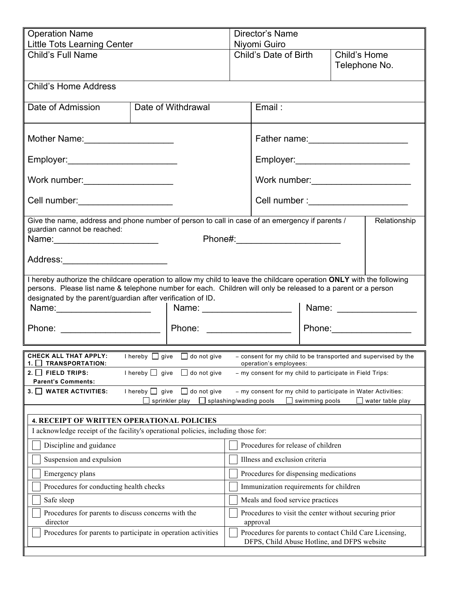| <b>Operation Name</b>                                                                                                                                                                                                                   |                                                                                                                | Director's Name                                                   |                                                                                                        |  |                         |
|-----------------------------------------------------------------------------------------------------------------------------------------------------------------------------------------------------------------------------------------|----------------------------------------------------------------------------------------------------------------|-------------------------------------------------------------------|--------------------------------------------------------------------------------------------------------|--|-------------------------|
| Little Tots Learning Center                                                                                                                                                                                                             |                                                                                                                | Niyomi Guiro                                                      |                                                                                                        |  |                         |
|                                                                                                                                                                                                                                         | Child's Full Name                                                                                              |                                                                   | Child's Date of Birth<br>Child's Home<br>Telephone No.                                                 |  |                         |
| <b>Child's Home Address</b>                                                                                                                                                                                                             |                                                                                                                |                                                                   |                                                                                                        |  |                         |
| Date of Admission                                                                                                                                                                                                                       | Date of Withdrawal                                                                                             |                                                                   | Email:                                                                                                 |  |                         |
| Mother Name:<br><u> </u>                                                                                                                                                                                                                |                                                                                                                |                                                                   | Father name: 2008                                                                                      |  |                         |
| Employer:_____________________________                                                                                                                                                                                                  |                                                                                                                |                                                                   |                                                                                                        |  |                         |
| Work number: _____________________                                                                                                                                                                                                      |                                                                                                                |                                                                   | Work number: _________________________                                                                 |  |                         |
| Cell number: _____________________                                                                                                                                                                                                      |                                                                                                                |                                                                   | Cell number :__________________________                                                                |  |                         |
| guardian cannot be reached:                                                                                                                                                                                                             | Give the name, address and phone number of person to call in case of an emergency if parents /<br>Relationship |                                                                   |                                                                                                        |  |                         |
|                                                                                                                                                                                                                                         |                                                                                                                |                                                                   |                                                                                                        |  |                         |
| Address: ____________________________                                                                                                                                                                                                   |                                                                                                                |                                                                   |                                                                                                        |  |                         |
| I hereby authorize the childcare operation to allow my child to leave the childcare operation ONLY with the following<br>persons. Please list name & telephone number for each. Children will only be released to a parent or a person  |                                                                                                                |                                                                   |                                                                                                        |  |                         |
| designated by the parent/guardian after verification of ID.                                                                                                                                                                             |                                                                                                                |                                                                   |                                                                                                        |  |                         |
| Name: 1                                                                                                                                                                                                                                 |                                                                                                                |                                                                   |                                                                                                        |  | Name: _________________ |
|                                                                                                                                                                                                                                         |                                                                                                                |                                                                   | Phone: _______________________   Phone: ____________________                                           |  |                         |
| CHECK ALL THAT APPLY:<br>I hereby $\Box$ give $\Box$ do not give<br>- consent for my child to be transported and supervised by the<br><b>TRANSPORTATION:</b><br>operation's employees:<br>1.                                            |                                                                                                                |                                                                   |                                                                                                        |  |                         |
| <b>FIELD TRIPS:</b><br>2. I I<br><b>Parent's Comments:</b>                                                                                                                                                                              | I hereby $\Box$ give $\Box$ do not give                                                                        |                                                                   | - my consent for my child to participate in Field Trips:                                               |  |                         |
| I hereby $\Box$ give<br>$\Box$ do not give<br>- my consent for my child to participate in Water Activities:<br>3. J WATER ACTIVITIES:<br>sprinkler play<br>splashing/wading pools<br>swimming pools<br>$\mathsf{L}$<br>water table play |                                                                                                                |                                                                   |                                                                                                        |  |                         |
|                                                                                                                                                                                                                                         |                                                                                                                |                                                                   |                                                                                                        |  |                         |
| <b>4. RECEIPT OF WRITTEN OPERATIONAL POLICIES</b><br>I acknowledge receipt of the facility's operational policies, including those for:                                                                                                 |                                                                                                                |                                                                   |                                                                                                        |  |                         |
| Discipline and guidance<br>Procedures for release of children                                                                                                                                                                           |                                                                                                                |                                                                   |                                                                                                        |  |                         |
| Suspension and expulsion                                                                                                                                                                                                                |                                                                                                                |                                                                   | Illness and exclusion criteria                                                                         |  |                         |
| Emergency plans                                                                                                                                                                                                                         |                                                                                                                | Procedures for dispensing medications                             |                                                                                                        |  |                         |
| Procedures for conducting health checks                                                                                                                                                                                                 |                                                                                                                | Immunization requirements for children                            |                                                                                                        |  |                         |
| Safe sleep                                                                                                                                                                                                                              |                                                                                                                |                                                                   | Meals and food service practices                                                                       |  |                         |
| Procedures for parents to discuss concerns with the<br>director                                                                                                                                                                         |                                                                                                                | Procedures to visit the center without securing prior<br>approval |                                                                                                        |  |                         |
| Procedures for parents to participate in operation activities                                                                                                                                                                           |                                                                                                                |                                                                   | Procedures for parents to contact Child Care Licensing,<br>DFPS, Child Abuse Hotline, and DFPS website |  |                         |